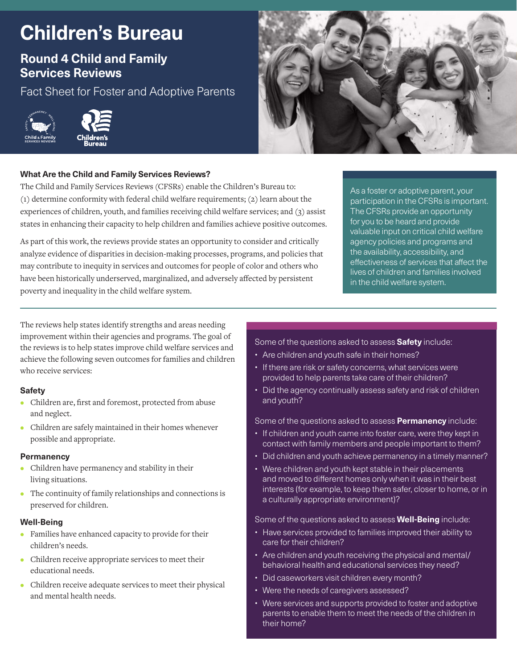# **Children's Bureau**

## **Round 4 Child and Family Services Reviews**

Fact Sheet for Foster and Adoptive Parents





### **What Are the Child and Family Services Reviews?**

The Child and Family Services Reviews (CFSRs) enable the Children's Bureau to: (1) determine conformity with federal child welfare requirements; (2) learn about the experiences of children, youth, and families receiving child welfare services; and (3) assist states in enhancing their capacity to help children and families achieve positive outcomes.

As part of this work, the reviews provide states an opportunity to consider and critically analyze evidence of disparities in decision-making processes, programs, and policies that may contribute to inequity in services and outcomes for people of color and others who have been historically underserved, marginalized, and adversely affected by persistent poverty and inequality in the child welfare system.

As a foster or adoptive parent, your participation in the CFSRs is important. The CFSRs provide an opportunity for you to be heard and provide valuable input on critical child welfare agency policies and programs and the availability, accessibility, and effectiveness of services that affect the lives of children and families involved in the child welfare system.

The reviews help states identify strengths and areas needing improvement within their agencies and programs. The goal of the reviews is to help states improve child welfare services and achieve the following seven outcomes for families and children who receive services:

#### **Safety**

- **•** Children are, first and foremost, protected from abuse and neglect.
- **•** Children are safely maintained in their homes whenever possible and appropriate.

#### **Permanency**

- **•** Children have permanency and stability in their living situations.
- **•** The continuity of family relationships and connections is preserved for children.

#### **Well-Being**

- **•** Families have enhanced capacity to provide for their children's needs.
- **•** Children receive appropriate services to meet their educational needs.
- **•** Children receive adequate services to meet their physical and mental health needs.

#### Some of the questions asked to assess **Safety** include:

- Are children and youth safe in their homes?
- If there are risk or safety concerns, what services were provided to help parents take care of their children?
- Did the agency continually assess safety and risk of children and youth?

#### Some of the questions asked to assess **Permanency** include:

- If children and youth came into foster care, were they kept in contact with family members and people important to them?
- Did children and youth achieve permanency in a timely manner?
- Were children and youth kept stable in their placements and moved to different homes only when it was in their best interests (for example, to keep them safer, closer to home, or in a culturally appropriate environment)?

#### Some of the questions asked to assess **Well-Being** include:

- Have services provided to families improved their ability to care for their children?
- Are children and youth receiving the physical and mental/ behavioral health and educational services they need?
- Did caseworkers visit children every month?
- Were the needs of caregivers assessed?
- Were services and supports provided to foster and adoptive parents to enable them to meet the needs of the children in their home?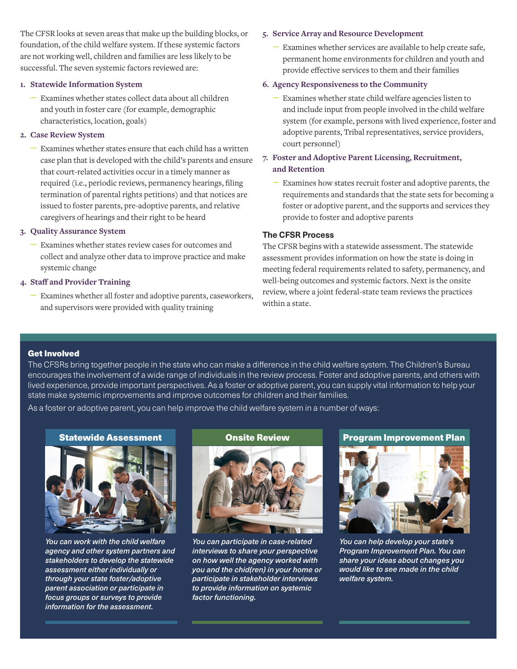The CFSR looks at seven areas that make up the building blocks, or foundation, of the child welfare system. If these systemic factors are not working well, children and families are less likely to be successful. The seven systemic factors reviewed are:

#### **1. Statewide Information System**

– Examines whether states collect data about all children and youth in foster care (for example, demographic characteristics, location, goals)

#### **2. Case Review System**

– Examines whether states ensure that each child has a written case plan that is developed with the child's parents and ensure that court-related activities occur in a timely manner as required (i.e., periodic reviews, permanency hearings, filing termination of parental rights petitions) and that notices are issued to foster parents, pre-adoptive parents, and relative caregivers of hearings and their right to be heard

#### **3. Quality Assurance System**

– Examines whether states review cases for outcomes and collect and analyze other data to improve practice and make systemic change

#### **4. Staff and Provider Training**

– Examines whether all foster and adoptive parents, caseworkers, and supervisors were provided with quality training

#### **5. Service Array and Resource Development**

– Examines whether services are available to help create safe, permanent home environments for children and youth and provide effective services to them and their families

#### **6. Agency Responsiveness to the Community**

– Examines whether state child welfare agencies listen to and include input from people involved in the child welfare system (for example, persons with lived experience, foster and adoptive parents, Tribal representatives, service providers, court personnel)

### **7. Foster and Adoptive Parent Licensing, Recruitment, and Retention**

– Examines how states recruit foster and adoptive parents, the requirements and standards that the state sets for becoming a foster or adoptive parent, and the supports and services they provide to foster and adoptive parents

#### **The CFSR Process**

The CFSR begins with a statewide assessment. The statewide assessment provides information on how the state is doing in meeting federal requirements related to safety, permanency, and well-being outcomes and systemic factors. Next is the onsite review, where a joint federal-state team reviews the practices within a state.

#### Get Involved

The CFSRs bring together people in the state who can make a difference in the child welfare system. The Children's Bureau encourages the involvement of a wide range of individuals in the review process. Foster and adoptive parents, and others with lived experience, provide important perspectives. As a foster or adoptive parent, you can supply vital information to help your state make systemic improvements and improve outcomes for children and their families.

As a foster or adoptive parent, you can help improve the child welfare system in a number of ways:



*You can work with the child welfare agency and other system partners and stakeholders to develop the statewide assessment either individually or through your state foster/adoptive parent association or participate in focus groups or surveys to provide information for the assessment.*



*You can participate in case-related interviews to share your perspective on how well the agency worked with you and the chid(ren) in your home or participate in stakeholder interviews to provide information on systemic factor functioning.*

Statewide Assessment Onsite Review Program Improvement Plan



*You can help develop your state's Program Improvement Plan. You can share your ideas about changes you would like to see made in the child welfare system.*